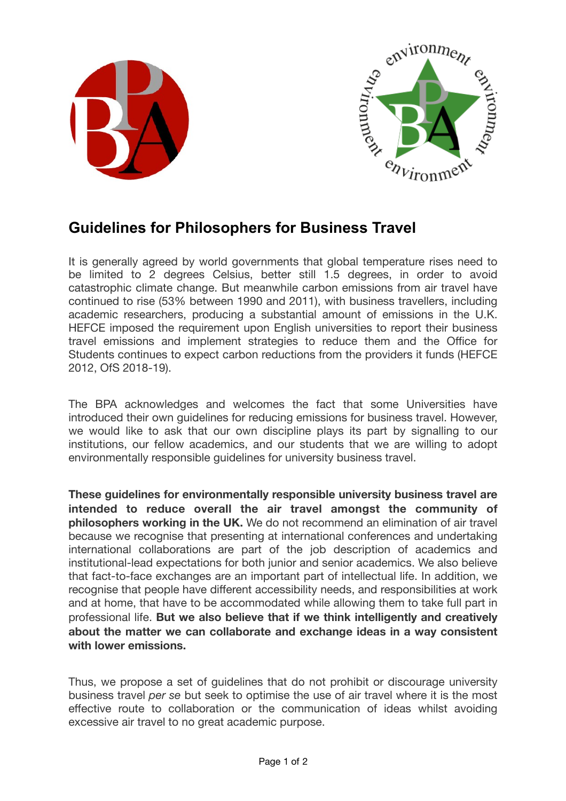



## **Guidelines for Philosophers for Business Travel**

It is generally agreed by world governments that global temperature rises need to be limited to 2 degrees Celsius, better still 1.5 degrees, in order to avoid catastrophic climate change. But meanwhile carbon emissions from air travel have continued to rise (53% between 1990 and 2011), with business travellers, including academic researchers, producing a substantial amount of emissions in the U.K. HEFCE imposed the requirement upon English universities to report their business travel emissions and implement strategies to reduce them and the Office for Students continues to expect carbon reductions from the providers it funds (HEFCE 2012, OfS 2018-19).

The BPA acknowledges and welcomes the fact that some Universities have introduced their own guidelines for reducing emissions for business travel. However, we would like to ask that our own discipline plays its part by signalling to our institutions, our fellow academics, and our students that we are willing to adopt environmentally responsible guidelines for university business travel.

**These guidelines for environmentally responsible university business travel are intended to reduce overall the air travel amongst the community of philosophers working in the UK.** We do not recommend an elimination of air travel because we recognise that presenting at international conferences and undertaking international collaborations are part of the job description of academics and institutional-lead expectations for both junior and senior academics. We also believe that fact-to-face exchanges are an important part of intellectual life. In addition, we recognise that people have different accessibility needs, and responsibilities at work and at home, that have to be accommodated while allowing them to take full part in professional life. **But we also believe that if we think intelligently and creatively about the matter we can collaborate and exchange ideas in a way consistent with lower emissions.**

Thus, we propose a set of guidelines that do not prohibit or discourage university business travel *per se* but seek to optimise the use of air travel where it is the most effective route to collaboration or the communication of ideas whilst avoiding excessive air travel to no great academic purpose.